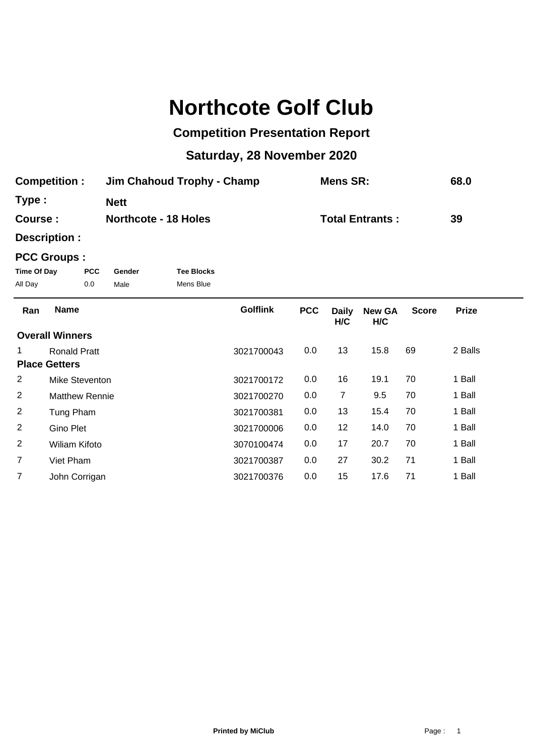# **Northcote Golf Club**

## **Competition Presentation Report**

## **Saturday, 28 November 2020**

| <b>Competition:</b> | Jim Chahoud Trophy - Champ  | Mens SR:               | 68.0 |
|---------------------|-----------------------------|------------------------|------|
| Type:               | <b>Nett</b>                 |                        |      |
| Course :            | <b>Northcote - 18 Holes</b> | <b>Total Entrants:</b> | 39   |

**Description :**

### **PCC Groups :**

| Time Of Day | <b>PCC</b> | Gender | <b>Tee Blocks</b> |
|-------------|------------|--------|-------------------|
| All Day     | 0.0        | Male   | Mens Blue         |

| Ran            | <b>Name</b>            | <b>Golflink</b> | <b>PCC</b> | <b>Daily</b><br>H/C | <b>New GA</b><br>H/C | <b>Score</b> | <b>Prize</b> |  |
|----------------|------------------------|-----------------|------------|---------------------|----------------------|--------------|--------------|--|
|                | <b>Overall Winners</b> |                 |            |                     |                      |              |              |  |
|                | <b>Ronald Pratt</b>    | 3021700043      | 0.0        | 13                  | 15.8                 | 69           | 2 Balls      |  |
|                | <b>Place Getters</b>   |                 |            |                     |                      |              |              |  |
| 2              | Mike Steventon         | 3021700172      | 0.0        | 16                  | 19.1                 | 70           | 1 Ball       |  |
| 2              | <b>Matthew Rennie</b>  | 3021700270      | 0.0        | 7                   | 9.5                  | 70           | 1 Ball       |  |
| 2              | Tung Pham              | 3021700381      | 0.0        | 13                  | 15.4                 | 70           | 1 Ball       |  |
| 2              | Gino Plet              | 3021700006      | 0.0        | 12                  | 14.0                 | 70           | 1 Ball       |  |
| 2              | Wiliam Kifoto          | 3070100474      | 0.0        | 17                  | 20.7                 | 70           | 1 Ball       |  |
| $\overline{7}$ | Viet Pham              | 3021700387      | 0.0        | 27                  | 30.2                 | 71           | 1 Ball       |  |
| 7              | John Corrigan          | 3021700376      | 0.0        | 15                  | 17.6                 | 71           | 1 Ball       |  |